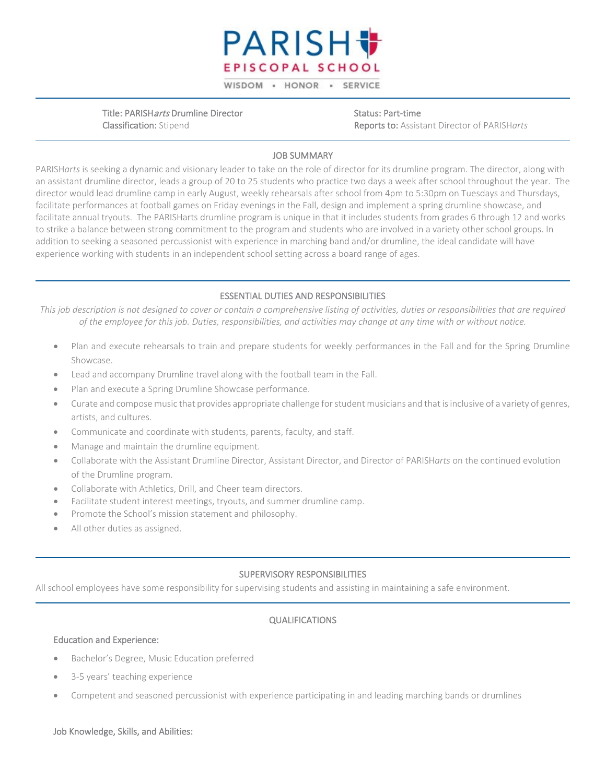

WISDOM - HONOR - SERVICE

Title: PARISHarts Drumline Director Classification: Stipend

Status: Part-time Reports to: Assistant Director of PARISH*arts*

# JOB SUMMARY

PARISH*arts* is seeking a dynamic and visionary leader to take on the role of director for its drumline program. The director, along with an assistant drumline director, leads a group of 20 to 25 students who practice two days a week after school throughout the year. The director would lead drumline camp in early August, weekly rehearsals after school from 4pm to 5:30pm on Tuesdays and Thursdays, facilitate performances at football games on Friday evenings in the Fall, design and implement a spring drumline showcase, and facilitate annual tryouts. The PARISHarts drumline program is unique in that it includes students from grades 6 through 12 and works to strike a balance between strong commitment to the program and students who are involved in a variety other school groups. In addition to seeking a seasoned percussionist with experience in marching band and/or drumline, the ideal candidate will have experience working with students in an independent school setting across a board range of ages.

## ESSENTIAL DUTIES AND RESPONSIBILITIES

*This job description is not designed to cover or contain a comprehensive listing of activities, duties or responsibilities that are required of the employee for this job. Duties, responsibilities, and activities may change at any time with or without notice.*

- Plan and execute rehearsals to train and prepare students for weekly performances in the Fall and for the Spring Drumline Showcase.
- Lead and accompany Drumline travel along with the football team in the Fall.
- Plan and execute a Spring Drumline Showcase performance.
- Curate and compose music that provides appropriate challenge for student musicians and that is inclusive of a variety of genres, artists, and cultures.
- Communicate and coordinate with students, parents, faculty, and staff.
- Manage and maintain the drumline equipment.
- Collaborate with the Assistant Drumline Director, Assistant Director, and Director of PARISH*arts* on the continued evolution of the Drumline program.
- Collaborate with Athletics, Drill, and Cheer team directors.
- Facilitate student interest meetings, tryouts, and summer drumline camp.
- Promote the School's mission statement and philosophy.
- All other duties as assigned.

### SUPERVISORY RESPONSIBILITIES

All school employees have some responsibility for supervising students and assisting in maintaining a safe environment.

# QUALIFICATIONS

### Education and Experience:

- Bachelor's Degree, Music Education preferred
- 3-5 years' teaching experience
- Competent and seasoned percussionist with experience participating in and leading marching bands or drumlines